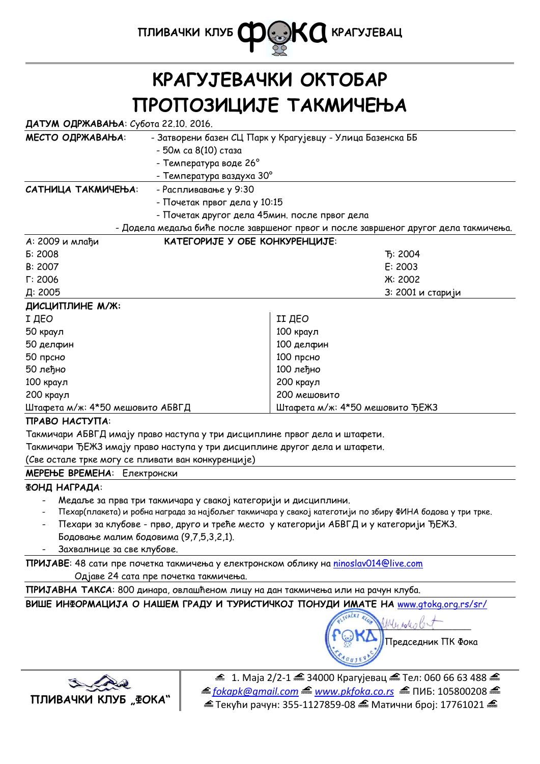

# **КРАГУЈЕВАЧКИ ОКТОБАР ПРОПОЗИЦИЈЕ ТАКМИЧЕЊА**

## **ДАТУМ ОДРЖАВАЊА**: Субота 22.10. 2016.

| МЕСТО ОДРЖАВАЊА:                 | - Затворени базен СЦ Парк у Крагујевцу - Улица Базенска ББ |                                                                                     |  |
|----------------------------------|------------------------------------------------------------|-------------------------------------------------------------------------------------|--|
|                                  | - 50м са 8(10) стаза                                       |                                                                                     |  |
|                                  | - Температура воде 26°                                     |                                                                                     |  |
|                                  | - Температура ваздуха 30°                                  |                                                                                     |  |
| САТНИЦА ТАКМИЧЕЊА:               | - Распливавање у 9:30                                      |                                                                                     |  |
|                                  | - Почетак првог дела у 10:15                               |                                                                                     |  |
|                                  | - Почетак другог дела 45мин. после првог дела              |                                                                                     |  |
|                                  |                                                            | - Додела медаља биће после завршеног првог и после завршеног другог дела такмичења. |  |
| А: 2009 и млађи                  | КАТЕГОРИЈЕ У ОБЕ КОНКУРЕНЦИЈЕ:                             |                                                                                     |  |
| Б: 2008                          |                                                            | T <sub>5</sub> : 2004                                                               |  |
| B: 2007                          |                                                            | E: 2003                                                                             |  |
| $\Gamma$ : 2006                  |                                                            | <b>K: 2002</b>                                                                      |  |
| Д: 2005                          |                                                            | 3: 2001 и старији                                                                   |  |
| ДИСЦИПЛИНЕ М/Ж:                  |                                                            |                                                                                     |  |
| І ДЕО                            |                                                            | II ДЕО                                                                              |  |
| 50 краул                         |                                                            | 100 краул                                                                           |  |
| 50 делфин                        |                                                            | 100 делфин                                                                          |  |
| 50 прсно                         |                                                            | 100 прсно                                                                           |  |
| 50 леђно                         |                                                            | 100 леђно                                                                           |  |
| 100 краул                        |                                                            | 200 краул                                                                           |  |
| 200 краул                        |                                                            | 200 мешовито                                                                        |  |
| Штафета м/ж: 4*50 мешовито АБВГД |                                                            | Штафета м/ж: 4*50 мешовито ЂЕЖЗ                                                     |  |

## **ПРАВО НАСТУПА**:

Такмичари АБВГД имају право наступа у три дисциплине првог дела и штафети.

Такмичари ЂЕЖЗ имају право наступа у три дисциплине другог дела и штафети.

(Све остале трке могу се пливати ван конкуренције)

**МЕРЕЊЕ ВРЕМЕНА**: Електронски

## **ФОНД НАГРАДА**:

- Медаље за прва три такмичара у свакој категорији и дисциплини.
- Пехар(плакета) и робна награда за најбољег такмичара у свакој категотији по збиру ФИНА бодова у три трке.
- Пехари за клубове прво, друго и треће место у категорији АБВГД и у категорији ЂЕЖЗ. Бодовање малим бодовима (9,7,5,3,2,1).
- Захвалнице за све клубове.

**ПРИЈАВЕ**: 48 сати пре почетка такмичења у електронском облику на ninoslav014@live.com Одјаве 24 сата пре почетка такмичења.

**ПРИЈАВНА ТАКСА**: 800 динара, овлашћеном лицу на дан такмичења или на рачун клуба.

**ВИШЕ ИНФОРМАЦИЈА О НАШЕМ ГРАДУ И ТУРИСТИЧКОЈ ПОНУДИ ИМАТЕ НА** www.gtokg.org.rs/sr/





 $£ 1.$  Маја 2/2-1  $£ 34000$  Крагујевац  $£ 7$ ел: 060 66 63 488 <del>소</del> *fokapk@gmail.com www.pkfoka.co.rs* ПИБ: 105800208  $\triangleq$  Текући рачун: 355-1127859-08  $\triangleq$  Матични број: 17761021  $\triangleq$